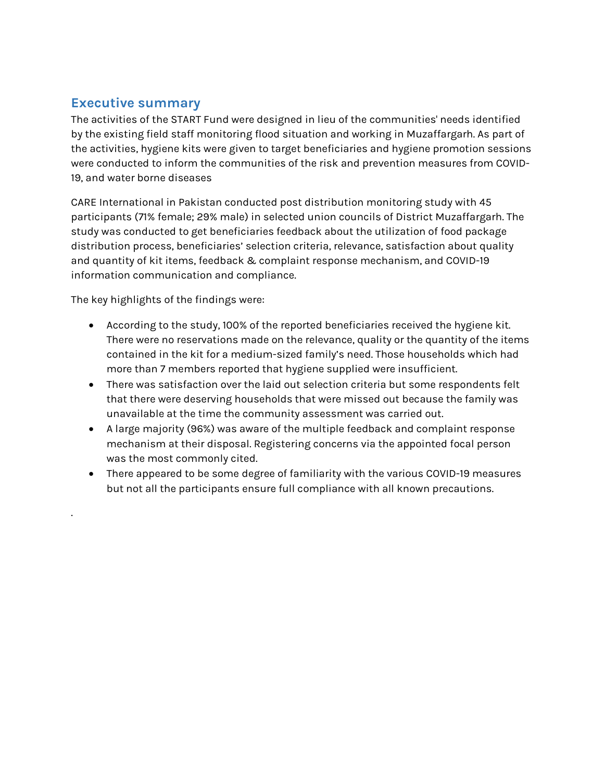# Executive summary

The activities of the START Fund were designed in lieu of the communities' needs identified by the existing field staff monitoring flood situation and working in Muzaffargarh. As part of the activities, hygiene kits were given to target beneficiaries and hygiene promotion sessions were conducted to inform the communities of the risk and prevention measures from COVID-19, and water borne diseases

CARE International in Pakistan conducted post distribution monitoring study with 45 participants (71% female; 29% male) in selected union councils of District Muzaffargarh. The study was conducted to get beneficiaries feedback about the utilization of food package distribution process, beneficiaries' selection criteria, relevance, satisfaction about quality and quantity of kit items, feedback & complaint response mechanism, and COVID-19 information communication and compliance.

The key highlights of the findings were:

.

- According to the study, 100% of the reported beneficiaries received the hygiene kit. There were no reservations made on the relevance, quality or the quantity of the items contained in the kit for a medium-sized family's need. Those households which had more than 7 members reported that hygiene supplied were insufficient.
- There was satisfaction over the laid out selection criteria but some respondents felt that there were deserving households that were missed out because the family was unavailable at the time the community assessment was carried out.
- A large majority (96%) was aware of the multiple feedback and complaint response mechanism at their disposal. Registering concerns via the appointed focal person was the most commonly cited.
- There appeared to be some degree of familiarity with the various COVID-19 measures but not all the participants ensure full compliance with all known precautions.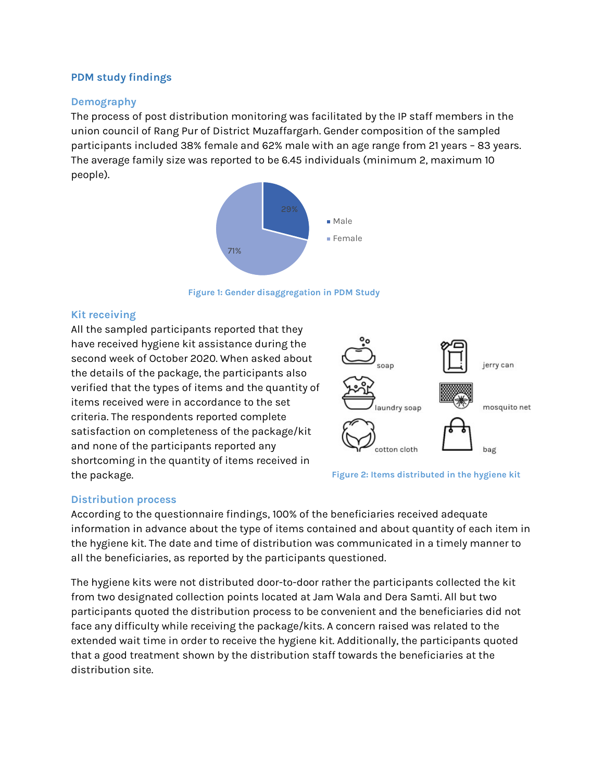## PDM study findings

#### Demography

The process of post distribution monitoring was facilitated by the IP staff members in the union council of Rang Pur of District Muzaffargarh. Gender composition of the sampled participants included 38% female and 62% male with an age range from 21 years – 83 years. The average family size was reported to be 6.45 individuals (minimum 2, maximum 10 people).



Figure 1: Gender disaggregation in PDM Study

#### Kit receiving

All the sampled participants reported that they have received hygiene kit assistance during the second week of October 2020. When asked about the details of the package, the participants also verified that the types of items and the quantity of items received were in accordance to the set criteria. The respondents reported complete satisfaction on completeness of the package/kit and none of the participants reported any shortcoming in the quantity of items received in the package.



Figure 2: Items distributed in the hygiene kit

## Distribution process

According to the questionnaire findings, 100% of the beneficiaries received adequate information in advance about the type of items contained and about quantity of each item in the hygiene kit. The date and time of distribution was communicated in a timely manner to all the beneficiaries, as reported by the participants questioned.

The hygiene kits were not distributed door-to-door rather the participants collected the kit from two designated collection points located at Jam Wala and Dera Samti. All but two participants quoted the distribution process to be convenient and the beneficiaries did not face any difficulty while receiving the package/kits. A concern raised was related to the extended wait time in order to receive the hygiene kit. Additionally, the participants quoted that a good treatment shown by the distribution staff towards the beneficiaries at the distribution site.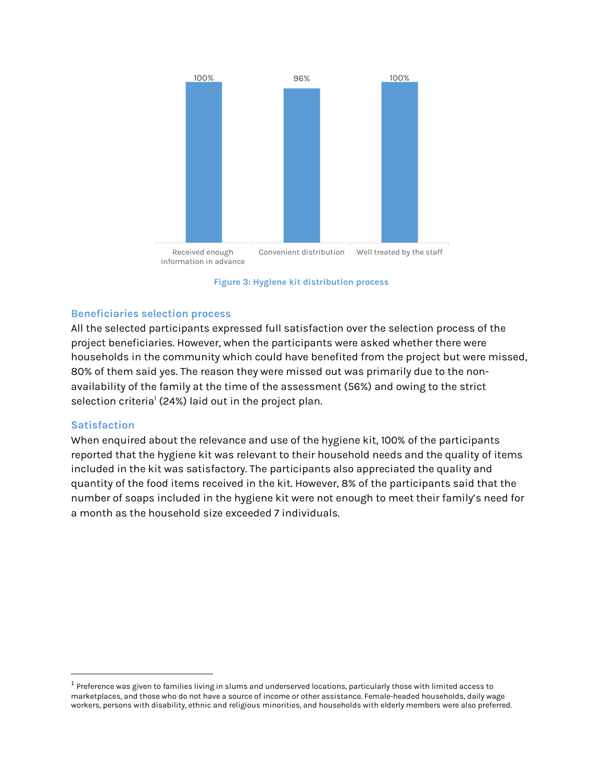

Figure 3: Hygiene kit distribution process

#### Beneficiaries selection process

All the selected participants expressed full satisfaction over the selection process of the project beneficiaries. However, when the participants were asked whether there were households in the community which could have benefited from the project but were missed, 80% of them said yes. The reason they were missed out was primarily due to the nonavailability of the family at the time of the assessment (56%) and owing to the strict selection criteria<sup>1</sup> (24%) laid out in the project plan.

#### **Satisfaction**

When enquired about the relevance and use of the hygiene kit, 100% of the participants reported that the hygiene kit was relevant to their household needs and the quality of items included in the kit was satisfactory. The participants also appreciated the quality and quantity of the food items received in the kit. However, 8% of the participants said that the number of soaps included in the hygiene kit were not enough to meet their family's need for a month as the household size exceeded 7 individuals.

 $^1$  Preference was given to families living in slums and underserved locations, particularly those with limited access to marketplaces, and those who do not have a source of income or other assistance. Female-headed households, daily wage workers, persons with disability, ethnic and religious minorities, and households with elderly members were also preferred.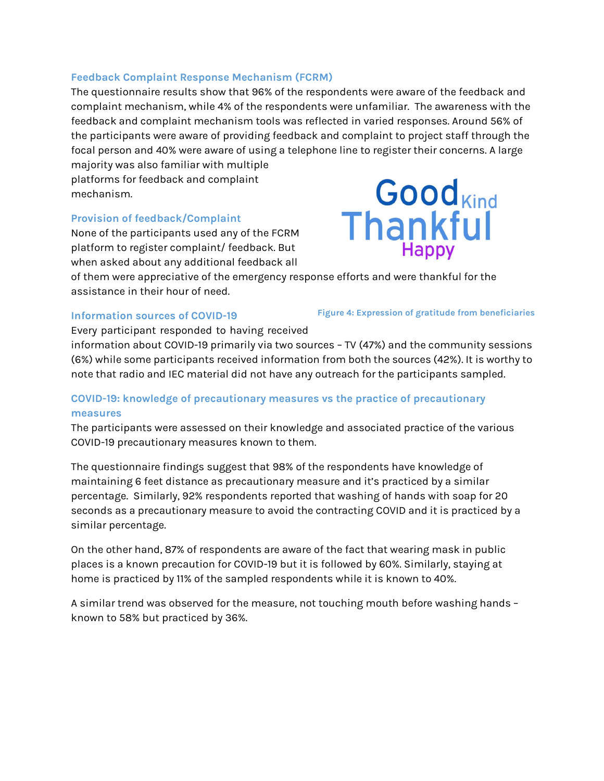#### Feedback Complaint Response Mechanism (FCRM)

The questionnaire results show that 96% of the respondents were aware of the feedback and complaint mechanism, while 4% of the respondents were unfamiliar. The awareness with the feedback and complaint mechanism tools was reflected in varied responses. Around 56% of the participants were aware of providing feedback and complaint to project staff through the focal person and 40% were aware of using a telephone line to register their concerns. A large

majority was also familiar with multiple platforms for feedback and complaint mechanism.

#### Provision of feedback/Complaint

None of the participants used any of the FCRM platform to register complaint/ feedback. But when asked about any additional feedback all



of them were appreciative of the emergency response efforts and were thankful for the assistance in their hour of need.

#### Information sources of COVID-19

Figure 4: Expression of gratitude from beneficiaries

Every participant responded to having received

information about COVID-19 primarily via two sources – TV (47%) and the community sessions (6%) while some participants received information from both the sources (42%). It is worthy to note that radio and IEC material did not have any outreach for the participants sampled.

## COVID-19: knowledge of precautionary measures vs the practice of precautionary measures

The participants were assessed on their knowledge and associated practice of the various COVID-19 precautionary measures known to them.

The questionnaire findings suggest that 98% of the respondents have knowledge of maintaining 6 feet distance as precautionary measure and it's practiced by a similar percentage. Similarly, 92% respondents reported that washing of hands with soap for 20 seconds as a precautionary measure to avoid the contracting COVID and it is practiced by a similar percentage.

On the other hand, 87% of respondents are aware of the fact that wearing mask in public places is a known precaution for COVID-19 but it is followed by 60%. Similarly, staying at home is practiced by 11% of the sampled respondents while it is known to 40%.

A similar trend was observed for the measure, not touching mouth before washing hands – known to 58% but practiced by 36%.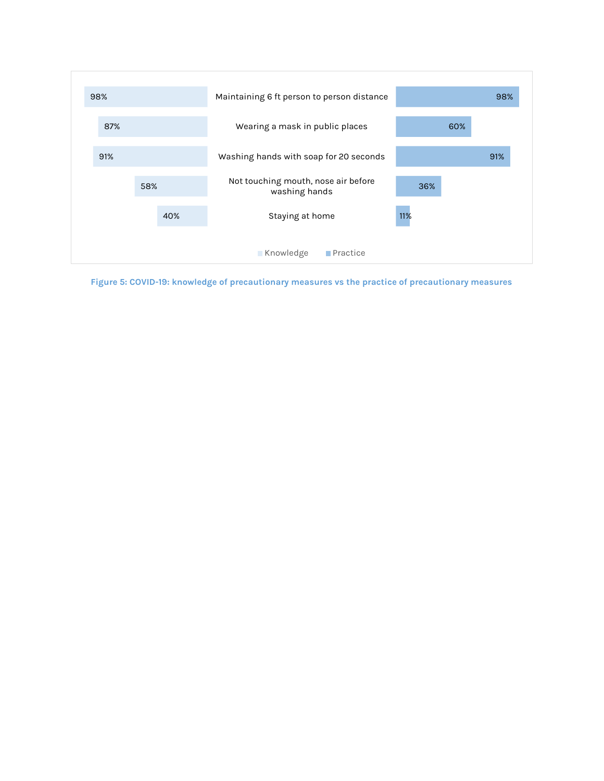

Figure 5: COVID-19: knowledge of precautionary measures vs the practice of precautionary measures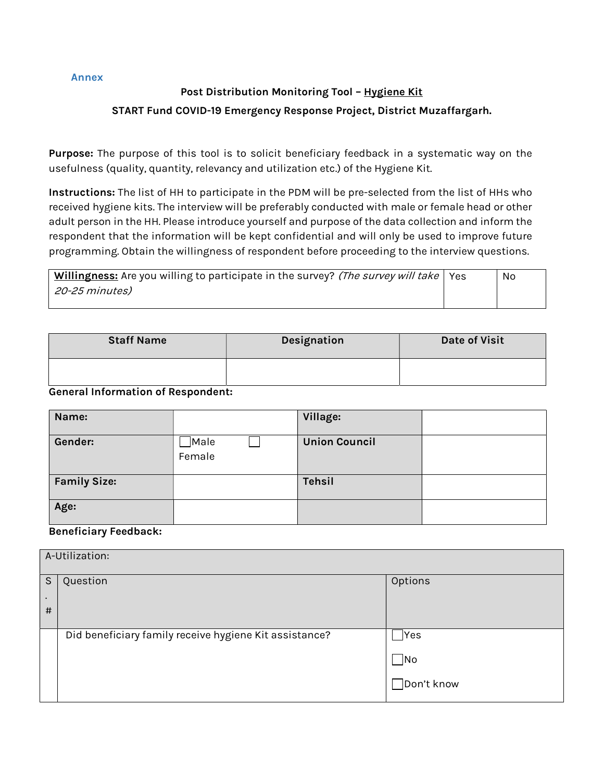Annex

# Post Distribution Monitoring Tool - Hygiene Kit START Fund COVID-19 Emergency Response Project, District Muzaffargarh.

Purpose: The purpose of this tool is to solicit beneficiary feedback in a systematic way on the usefulness (quality, quantity, relevancy and utilization etc.) of the Hygiene Kit.

Instructions: The list of HH to participate in the PDM will be pre-selected from the list of HHs who received hygiene kits. The interview will be preferably conducted with male or female head or other adult person in the HH. Please introduce yourself and purpose of the data collection and inform the respondent that the information will be kept confidential and will only be used to improve future programming. Obtain the willingness of respondent before proceeding to the interview questions.

| Willingness: Are you willing to participate in the survey? (The survey will take   Yes | No |
|----------------------------------------------------------------------------------------|----|
| 20-25 minutes)                                                                         |    |
|                                                                                        |    |

| <b>Staff Name</b> | Designation | <b>Date of Visit</b> |
|-------------------|-------------|----------------------|
|                   |             |                      |

#### General Information of Respondent:

| Name:               |                    | Village:             |  |
|---------------------|--------------------|----------------------|--|
| Gender:             | ]Male<br>$F$ emale | <b>Union Council</b> |  |
| <b>Family Size:</b> |                    | <b>Tehsil</b>        |  |
| Age:                |                    |                      |  |

#### Beneficiary Feedback:

| A-Utilization: |                                                        |            |  |  |
|----------------|--------------------------------------------------------|------------|--|--|
| S              | Question                                               | Options    |  |  |
| $\bullet$<br># |                                                        |            |  |  |
|                |                                                        |            |  |  |
|                | Did beneficiary family receive hygiene Kit assistance? | Yes        |  |  |
|                |                                                        | No         |  |  |
|                |                                                        | Don't know |  |  |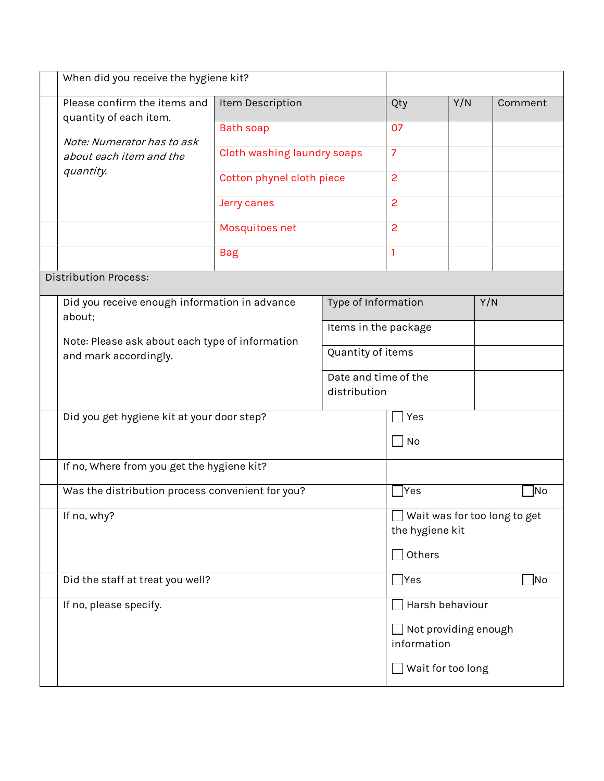|  | When did you receive the hygiene kit?                                              |                                      |                                     |                                                 |     |         |  |
|--|------------------------------------------------------------------------------------|--------------------------------------|-------------------------------------|-------------------------------------------------|-----|---------|--|
|  | Please confirm the items and<br>quantity of each item.                             | Item Description                     |                                     | Qty                                             | Y/N | Comment |  |
|  | Note: Numerator has to ask                                                         | <b>Bath soap</b>                     |                                     | 07                                              |     |         |  |
|  | about each item and the                                                            | Cloth washing laundry soaps          |                                     | $\overline{7}$                                  |     |         |  |
|  | quantity.                                                                          | Cotton phynel cloth piece            |                                     | $\overline{2}$                                  |     |         |  |
|  |                                                                                    | Jerry canes                          |                                     | $\overline{c}$                                  |     |         |  |
|  |                                                                                    | Mosquitoes net                       |                                     | $\overline{c}$                                  |     |         |  |
|  |                                                                                    | <b>Bag</b>                           |                                     | 1                                               |     |         |  |
|  | <b>Distribution Process:</b>                                                       |                                      |                                     |                                                 |     |         |  |
|  | Did you receive enough information in advance                                      |                                      | Type of Information                 |                                                 | Y/N |         |  |
|  | about;<br>Note: Please ask about each type of information<br>and mark accordingly. |                                      | Items in the package                |                                                 |     |         |  |
|  |                                                                                    |                                      | Quantity of items                   |                                                 |     |         |  |
|  |                                                                                    | Date and time of the<br>distribution |                                     |                                                 |     |         |  |
|  | Did you get hygiene kit at your door step?                                         |                                      | Yes                                 |                                                 |     |         |  |
|  |                                                                                    |                                      | $ $ No                              |                                                 |     |         |  |
|  | If no, Where from you get the hygiene kit?                                         |                                      |                                     |                                                 |     |         |  |
|  | Was the distribution process convenient for you?                                   |                                      |                                     | Yes                                             |     | No      |  |
|  | If no, why?                                                                        |                                      |                                     | Wait was for too long to get<br>the hygiene kit |     |         |  |
|  |                                                                                    |                                      |                                     | Others                                          |     |         |  |
|  | Did the staff at treat you well?                                                   |                                      |                                     | <b>Yes</b><br> No                               |     |         |  |
|  | If no, please specify.                                                             |                                      |                                     | Harsh behaviour                                 |     |         |  |
|  |                                                                                    |                                      | Not providing enough<br>information |                                                 |     |         |  |
|  |                                                                                    |                                      |                                     | Wait for too long                               |     |         |  |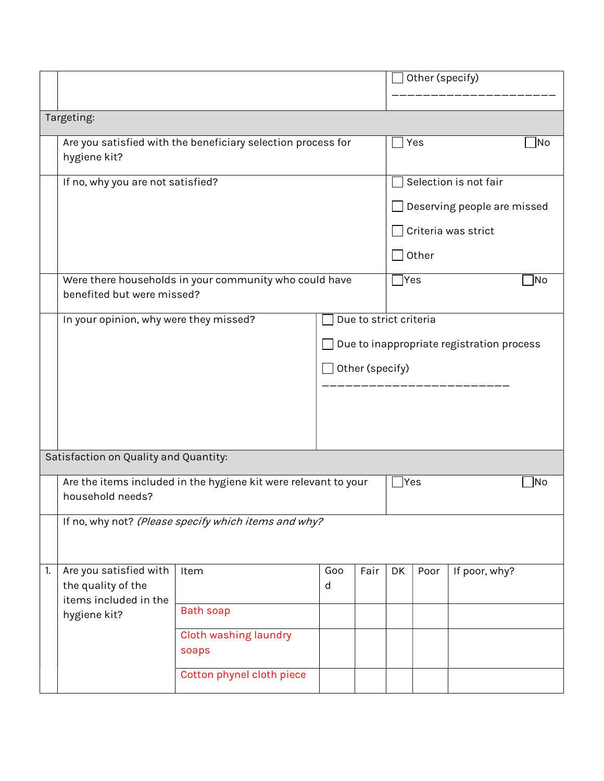|    |                                              |                                                                 |                                           |      |                             | Other (specify) |               |    |
|----|----------------------------------------------|-----------------------------------------------------------------|-------------------------------------------|------|-----------------------------|-----------------|---------------|----|
|    |                                              |                                                                 |                                           |      |                             |                 |               |    |
|    | Targeting:                                   |                                                                 |                                           |      |                             |                 |               |    |
|    |                                              | Are you satisfied with the beneficiary selection process for    |                                           |      | <b>Yes</b>                  |                 |               | No |
|    | hygiene kit?                                 |                                                                 |                                           |      |                             |                 |               |    |
|    | If no, why you are not satisfied?            |                                                                 |                                           |      | Selection is not fair       |                 |               |    |
|    |                                              |                                                                 |                                           |      | Deserving people are missed |                 |               |    |
|    |                                              |                                                                 |                                           |      | Criteria was strict         |                 |               |    |
|    |                                              |                                                                 |                                           |      | Other                       |                 |               |    |
|    | benefited but were missed?                   | Were there households in your community who could have          |                                           |      | Yes]<br> No                 |                 |               |    |
|    | In your opinion, why were they missed?       |                                                                 |                                           |      | Due to strict criteria      |                 |               |    |
|    |                                              |                                                                 | Due to inappropriate registration process |      |                             |                 |               |    |
|    |                                              |                                                                 | Other (specify)                           |      |                             |                 |               |    |
|    |                                              |                                                                 |                                           |      |                             |                 |               |    |
|    |                                              |                                                                 |                                           |      |                             |                 |               |    |
|    |                                              |                                                                 |                                           |      |                             |                 |               |    |
|    | Satisfaction on Quality and Quantity:        |                                                                 |                                           |      |                             |                 |               |    |
|    |                                              | Are the items included in the hygiene kit were relevant to your |                                           |      |                             | Yes             |               | No |
|    | household needs?                             |                                                                 |                                           |      |                             |                 |               |    |
|    |                                              | If no, why not? (Please specify which items and why?            |                                           |      |                             |                 |               |    |
| 1. | Are you satisfied with<br>the quality of the | Item                                                            | Goo<br>d                                  | Fair | DK                          | Poor            | If poor, why? |    |
|    | items included in the                        |                                                                 |                                           |      |                             |                 |               |    |
|    | hygiene kit?                                 | <b>Bath soap</b>                                                |                                           |      |                             |                 |               |    |
|    |                                              | Cloth washing laundry                                           |                                           |      |                             |                 |               |    |
|    |                                              | soaps                                                           |                                           |      |                             |                 |               |    |
|    |                                              | Cotton phynel cloth piece                                       |                                           |      |                             |                 |               |    |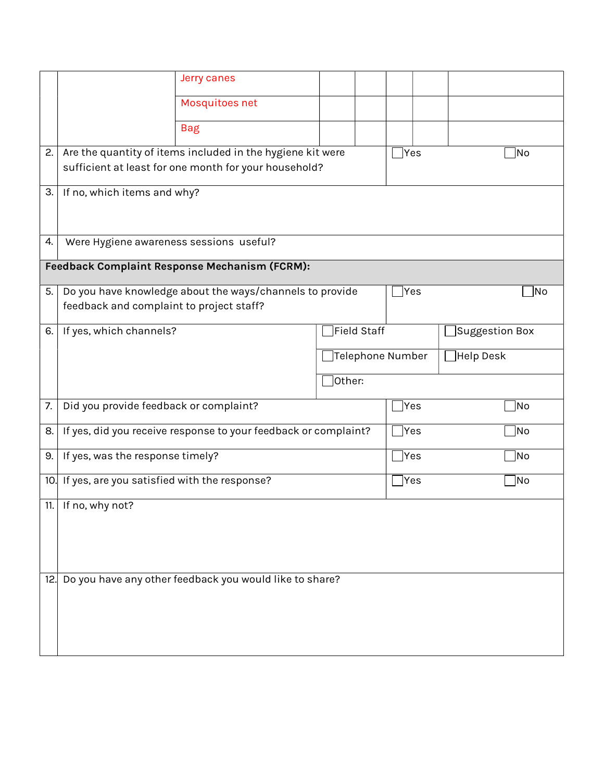|     |                                                                 | Jerry canes                                                                                                         |                   |      |                     |
|-----|-----------------------------------------------------------------|---------------------------------------------------------------------------------------------------------------------|-------------------|------|---------------------|
|     |                                                                 | Mosquitoes net                                                                                                      |                   |      |                     |
|     |                                                                 | <b>Bag</b>                                                                                                          |                   |      |                     |
| 2.  |                                                                 | Are the quantity of items included in the hygiene kit were<br>sufficient at least for one month for your household? |                   | Yes  | No                  |
| 3.  | If no, which items and why?                                     |                                                                                                                     |                   |      |                     |
| 4.  | Were Hygiene awareness sessions useful?                         |                                                                                                                     |                   |      |                     |
|     |                                                                 | Feedback Complaint Response Mechanism (FCRM):                                                                       |                   |      |                     |
| 5.  | feedback and complaint to project staff?                        | Do you have knowledge about the ways/channels to provide                                                            |                   | Yes  | No                  |
| 6.  | If yes, which channels?                                         |                                                                                                                     | Field Staff       |      | Suggestion Box      |
|     |                                                                 |                                                                                                                     | Telephone Number] |      | $\exists$ Help Desk |
|     |                                                                 |                                                                                                                     | ]Other:           |      |                     |
| 7.  | Did you provide feedback or complaint?                          |                                                                                                                     |                   | Yes  | No                  |
| 8.  | If yes, did you receive response to your feedback or complaint? |                                                                                                                     |                   | Yes  | No                  |
| 9.  | If yes, was the response timely?                                |                                                                                                                     |                   | Yes] | No                  |
|     | 10. If yes, are you satisfied with the response?                |                                                                                                                     |                   | Yes] | No]                 |
| 11. | If no, why not?                                                 |                                                                                                                     |                   |      |                     |
| 12. |                                                                 | Do you have any other feedback you would like to share?                                                             |                   |      |                     |